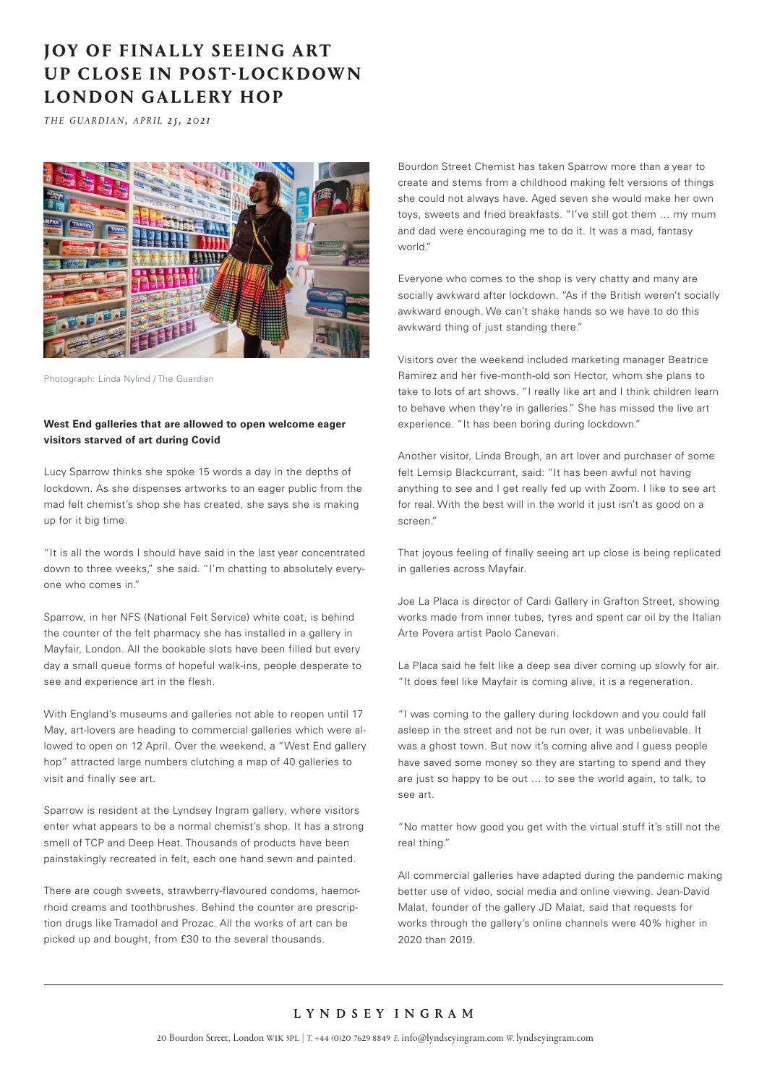## **JOY OF FINALLY SEEING ART UP CLOSE IN POST-LOCKDOWN LONDON GALLERY HOP**

*THE GUARDIAN, APRIL 25, 2021* 



Photograph: Linda Nylind / The Guardian

## **West End galleries that are allowed to open welcome eager visitors starved of art during Covid**

Lucy Sparrow thinks she spoke 15 words a day in the depths of lockdown. As she dispenses artworks to an eager public from the mad felt chemist's shop she has created, she says she is making up for it big time.

"It is all the words I should have said in the last year concentrated down to three weeks," she said. "I'm chatting to absolutely everyone who comes in."

Sparrow, in her NFS (National Felt Service) white coat, is behind the counter of the felt pharmacy she has installed in a gallery in Mayfair, London. All the bookable slots have been filled but every day a small queue forms of hopeful walk-ins, people desperate to see and experience art in the flesh.

With England's museums and galleries not able to reopen until 17 May, art-lovers are heading to commercial galleries which were allowed to open on 12 April. Over the weekend, a "West End gallery hop" attracted large numbers clutching a map of 40 galleries to visit and finally see art.

Sparrow is resident at the Lyndsey Ingram gallery, where visitors enter what appears to be a normal chemist's shop. It has a strong smell of TCP and Deep Heat. Thousands of products have been painstakingly recreated in felt, each one hand sewn and painted.

There are cough sweets, strawberry-flavoured condoms, haemorrhoid creams and toothbrushes. Behind the counter are prescription drugs like Tramadol and Prozac. All the works of art can be picked up and bought, from £30 to the several thousands.

Bourdon Street Chemist has taken Sparrow more than a year to create and stems from a childhood making felt versions of things she could not always have. Aged seven she would make her own toys, sweets and fried breakfasts. "I've still got them … my mum and dad were encouraging me to do it. It was a mad, fantasy world."

Everyone who comes to the shop is very chatty and many are socially awkward after lockdown. "As if the British weren't socially awkward enough. We can't shake hands so we have to do this awkward thing of just standing there."

Visitors over the weekend included marketing manager Beatrice Ramirez and her five-month-old son Hector, whom she plans to take to lots of art shows. "I really like art and I think children learn to behave when they're in galleries." She has missed the live art experience. "It has been boring during lockdown."

Another visitor, Linda Brough, an art lover and purchaser of some felt Lemsip Blackcurrant, said: "It has been awful not having anything to see and I get really fed up with Zoom. I like to see art for real. With the best will in the world it just isn't as good on a screen."

That joyous feeling of finally seeing art up close is being replicated in galleries across Mayfair.

Joe La Placa is director of Cardi Gallery in Grafton Street, showing works made from inner tubes, tyres and spent car oil by the Italian Arte Povera artist Paolo Canevari.

La Placa said he felt like a deep sea diver coming up slowly for air. "It does feel like Mayfair is coming alive, it is a regeneration.

"I was coming to the gallery during lockdown and you could fall asleep in the street and not be run over, it was unbelievable. It was a ghost town. But now it's coming alive and I guess people have saved some money so they are starting to spend and they are just so happy to be out … to see the world again, to talk, to see art.

"No matter how good you get with the virtual stuff it's still not the real thing."

All commercial galleries have adapted during the pandemic making better use of video, social media and online viewing. Jean-David Malat, founder of the gallery JD Malat, said that requests for works through the gallery's online channels were 40% higher in 2020 than 2019.

## LYNDSEY INGRAM